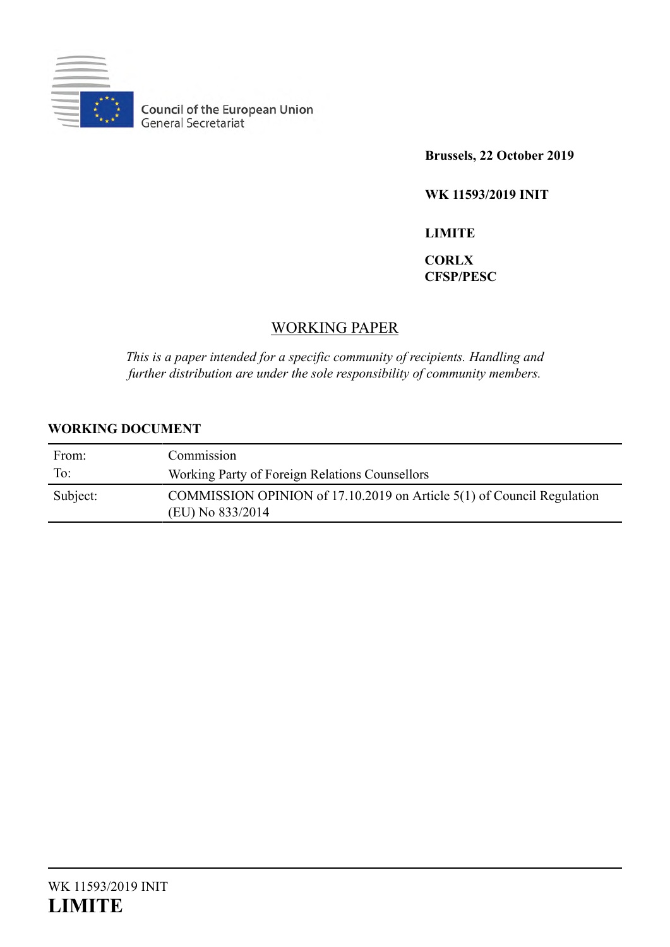

**Council of the European Union**<br>General Secretariat

**Brussels, 22 October 2019**

**WK 11593/2019 INIT**

**LIMITE**

# **CORLX CFSP/PESC**

# WORKING PAPER

*This is a paper intended for a specific community of recipients. Handling and further distribution are under the sole responsibility of community members.*

# **WORKING DOCUMENT**

| From:    | Commission                                                                                 |
|----------|--------------------------------------------------------------------------------------------|
| To:      | Working Party of Foreign Relations Counsellors                                             |
| Subject: | COMMISSION OPINION of 17.10.2019 on Article 5(1) of Council Regulation<br>(EU) No 833/2014 |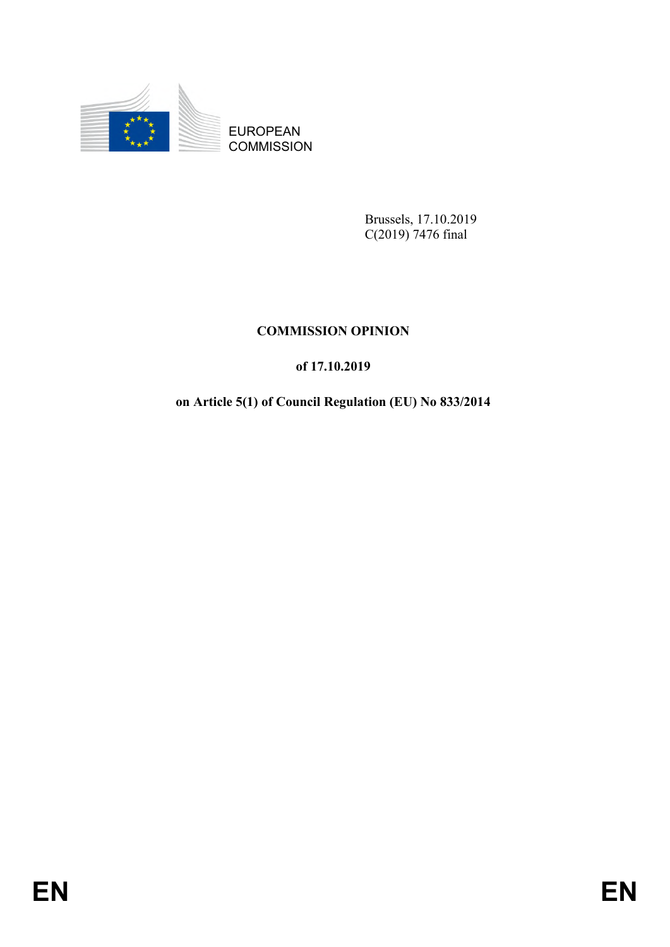

**COMMISSION** 

Brussels, 17.10.2019 C(2019) 7476 final

# **COMMISSION OPINION**

# **of 17.10.2019**

# EUROPEAN<br>
EUROPEAN<br>
COMMISSION<br>
COMMISSION<br>
COMMISSION OPTNION<br>
COMMISSION OPTNION<br>
of 17.10.2019<br>
on Article 5(1) of Council Regulation (EI.) No 83322014<br>
FIN **on Article 5(1) of Council Regulation (EU) No 833/2014**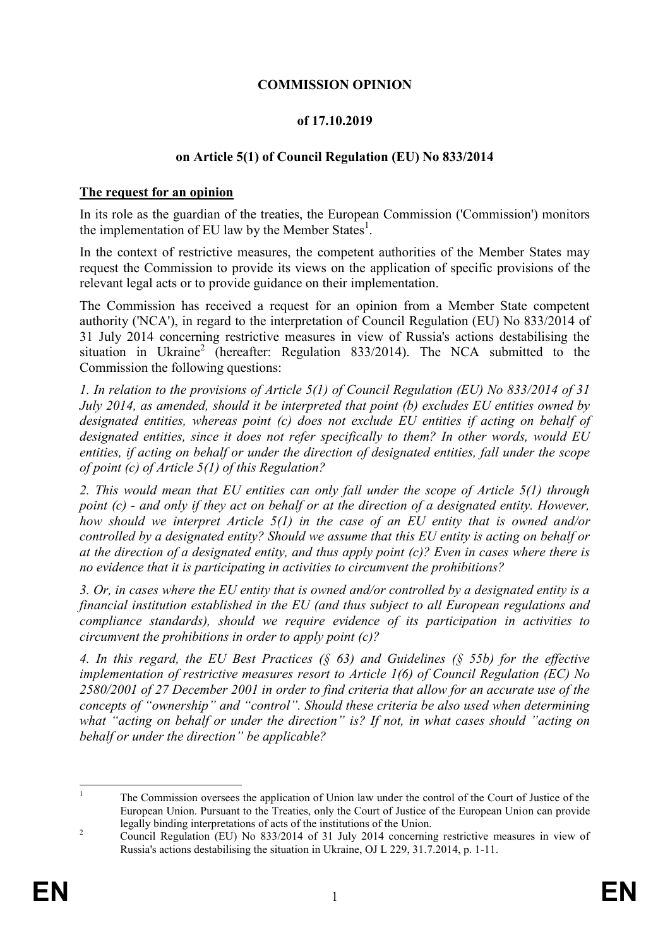## **COMMISSION OPINION**

## **of 17.10.2019**

## **on Article 5(1) of Council Regulation (EU) No 833/2014**

## **The request for an opinion**

In its role as the guardian of the treaties, the European Commission ('Commission') monitors the implementation of EU law by the Member States<sup>1</sup>.

In the context of restrictive measures, the competent authorities of the Member States may request the Commission to provide its views on the application of specific provisions of the relevant legal acts or to provide guidance on their implementation.

The Commission has received a request for an opinion from a Member State competent authority ('NCA'), in regard to the interpretation of Council Regulation (EU) No 833/2014 of 31 July 2014 concerning restrictive measures in view of Russia's actions destabilising the situation in Ukraine<sup>2</sup> (hereafter: Regulation 833/2014). The NCA submitted to the Commission the following questions:

*1. In relation to the provisions of Article 5(1) of Council Regulation (EU) No 833/2014 of 31 July 2014, as amended, should it be interpreted that point (b) excludes EU entities owned by designated entities, whereas point (c) does not exclude EU entities if acting on behalf of designated entities, since it does not refer specifically to them? In other words, would EU entities, if acting on behalf or under the direction of designated entities, fall under the scope of point (c) of Article 5(1) of this Regulation?* 

*2. This would mean that EU entities can only fall under the scope of Article 5(1) through point (c) - and only if they act on behalf or at the direction of a designated entity. However, how should we interpret Article 5(1) in the case of an EU entity that is owned and/or controlled by a designated entity? Should we assume that this EU entity is acting on behalf or at the direction of a designated entity, and thus apply point (c)? Even in cases where there is no evidence that it is participating in activities to circumvent the prohibitions?* 

*3. Or, in cases where the EU entity that is owned and/or controlled by a designated entity is a financial institution established in the EU (and thus subject to all European regulations and compliance standards), should we require evidence of its participation in activities to circumvent the prohibitions in order to apply point (c)?*

*4. In this regard, the EU Best Practices (§ 63) and Guidelines (§ 55b) for the effective implementation of restrictive measures resort to Article 1(6) of Council Regulation (EC) No 2580/2001 of 27 December 2001 in order to find criteria that allow for an accurate use of the concepts of "ownership" and "control". Should these criteria be also used when determining what "acting on behalf or under the direction" is? If not, in what cases should "acting on behalf or under the direction" be applicable?*

 $\bar{1}$ <sup>1</sup> The Commission oversees the application of Union law under the control of the Court of Justice of the European Union. Pursuant to the Treaties, only the Court of Justice of the European Union can provide legally binding interpretations of acts of the institutions of the Union.

<sup>&</sup>lt;sup>2</sup> Council Regulation (EU) No 833/2014 of 31 July 2014 concerning restrictive measures in view of Russia's actions destabilising the situation in Ukraine, OJ L 229, 31.7.2014, p. 1-11.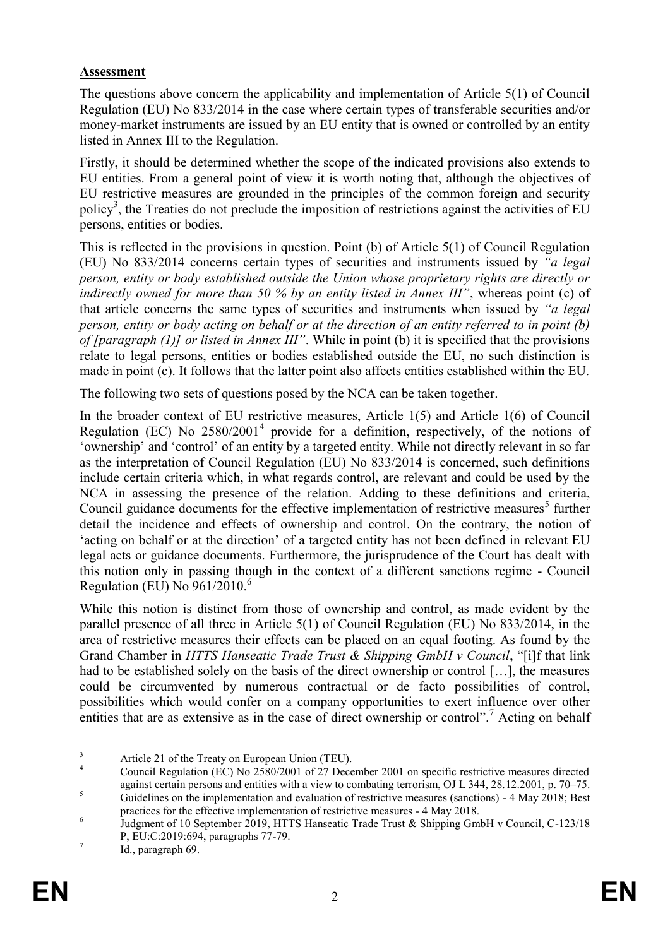## **Assessment**

The questions above concern the applicability and implementation of Article 5(1) of Council Regulation (EU) No 833/2014 in the case where certain types of transferable securities and/or money-market instruments are issued by an EU entity that is owned or controlled by an entity listed in Annex III to the Regulation.

Firstly, it should be determined whether the scope of the indicated provisions also extends to EU entities. From a general point of view it is worth noting that, although the objectives of EU restrictive measures are grounded in the principles of the common foreign and security policy<sup>3</sup>, the Treaties do not preclude the imposition of restrictions against the activities of EU persons, entities or bodies.

This is reflected in the provisions in question. Point (b) of Article 5(1) of Council Regulation (EU) No 833/2014 concerns certain types of securities and instruments issued by *"a legal person, entity or body established outside the Union whose proprietary rights are directly or indirectly owned for more than 50 % by an entity listed in Annex III"*, whereas point (c) of that article concerns the same types of securities and instruments when issued by *"a legal person, entity or body acting on behalf or at the direction of an entity referred to in point (b) of [paragraph (1)] or listed in Annex III"*. While in point (b) it is specified that the provisions relate to legal persons, entities or bodies established outside the EU, no such distinction is made in point (c). It follows that the latter point also affects entities established within the EU.

The following two sets of questions posed by the NCA can be taken together.

In the broader context of EU restrictive measures, Article 1(5) and Article 1(6) of Council Regulation (EC) No  $2580/2001<sup>4</sup>$  provide for a definition, respectively, of the notions of 'ownership' and 'control' of an entity by a targeted entity. While not directly relevant in so far as the interpretation of Council Regulation (EU) No 833/2014 is concerned, such definitions include certain criteria which, in what regards control, are relevant and could be used by the NCA in assessing the presence of the relation. Adding to these definitions and criteria, Council guidance documents for the effective implementation of restrictive measures<sup>5</sup> further detail the incidence and effects of ownership and control. On the contrary, the notion of 'acting on behalf or at the direction' of a targeted entity has not been defined in relevant EU legal acts or guidance documents. Furthermore, the jurisprudence of the Court has dealt with this notion only in passing though in the context of a different sanctions regime - Council Regulation (EU) No  $961/2010$ <sup>6</sup>

While this notion is distinct from those of ownership and control, as made evident by the parallel presence of all three in Article 5(1) of Council Regulation (EU) No 833/2014, in the area of restrictive measures their effects can be placed on an equal footing. As found by the Grand Chamber in *HTTS Hanseatic Trade Trust & Shipping GmbH v Council*, "[i]f that link had to be established solely on the basis of the direct ownership or control […], the measures could be circumvented by numerous contractual or de facto possibilities of control, possibilities which would confer on a company opportunities to exert influence over other entities that are as extensive as in the case of direct ownership or control".<sup>7</sup> Acting on behalf

 $\overline{3}$ <sup>3</sup><br>Article 21 of the Treaty on European Union (TEU).<br> $\frac{3}{4}$  Council Begulation (EC) No. 2580/2001 of 27 Decem

<sup>4</sup> Council Regulation (EC) No 2580/2001 of 27 December 2001 on specific restrictive measures directed against certain persons and entities with a view to combating terrorism, OJ L 344, 28.12.2001, p. 70–75.  $\frac{5}{5}$  Guidelines on the implementation and evaluation of restrictive measures (sanctions) - 4 May 2018; Best

practices for the effective implementation of restrictive measures - 4 May 2018.

<sup>6</sup> Judgment of 10 September 2019, HTTS Hanseatic Trade Trust & Shipping GmbH v Council, C-123/18 P, EU:C:2019:694, paragraphs 77-79.

<sup>7</sup> Id., paragraph 69.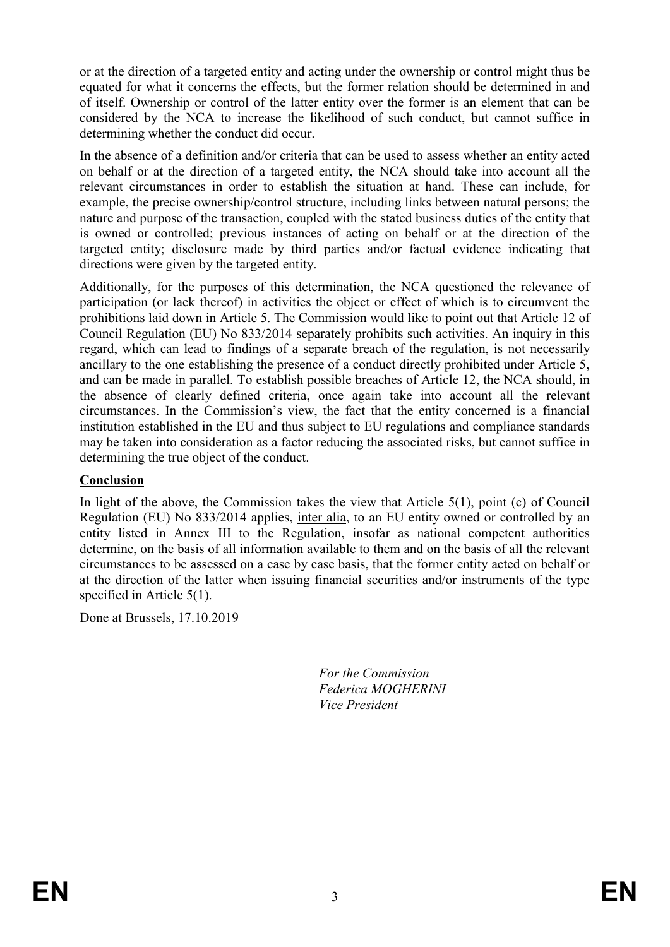or at the direction of a targeted entity and acting under the ownership or control might thus be equated for what it concerns the effects, but the former relation should be determined in and of itself. Ownership or control of the latter entity over the former is an element that can be considered by the NCA to increase the likelihood of such conduct, but cannot suffice in determining whether the conduct did occur.

In the absence of a definition and/or criteria that can be used to assess whether an entity acted on behalf or at the direction of a targeted entity, the NCA should take into account all the relevant circumstances in order to establish the situation at hand. These can include, for example, the precise ownership/control structure, including links between natural persons; the nature and purpose of the transaction, coupled with the stated business duties of the entity that is owned or controlled; previous instances of acting on behalf or at the direction of the targeted entity; disclosure made by third parties and/or factual evidence indicating that directions were given by the targeted entity.

Additionally, for the purposes of this determination, the NCA questioned the relevance of participation (or lack thereof) in activities the object or effect of which is to circumvent the prohibitions laid down in Article 5. The Commission would like to point out that Article 12 of Council Regulation (EU) No 833/2014 separately prohibits such activities. An inquiry in this regard, which can lead to findings of a separate breach of the regulation, is not necessarily ancillary to the one establishing the presence of a conduct directly prohibited under Article 5, and can be made in parallel. To establish possible breaches of Article 12, the NCA should, in the absence of clearly defined criteria, once again take into account all the relevant circumstances. In the Commission's view, the fact that the entity concerned is a financial institution established in the EU and thus subject to EU regulations and compliance standards may be taken into consideration as a factor reducing the associated risks, but cannot suffice in determining the true object of the conduct.

## **Conclusion**

In light of the above, the Commission takes the view that Article  $5(1)$ , point (c) of Council Regulation (EU) No 833/2014 applies, inter alia, to an EU entity owned or controlled by an entity listed in Annex III to the Regulation, insofar as national competent authorities determine, on the basis of all information available to them and on the basis of all the relevant circumstances to be assessed on a case by case basis, that the former entity acted on behalf or at the direction of the latter when issuing financial securities and/or instruments of the type specified in Article 5(1).

Done at Brussels, 17.10.2019

*For the Commission Federica MOGHERINI Vice President*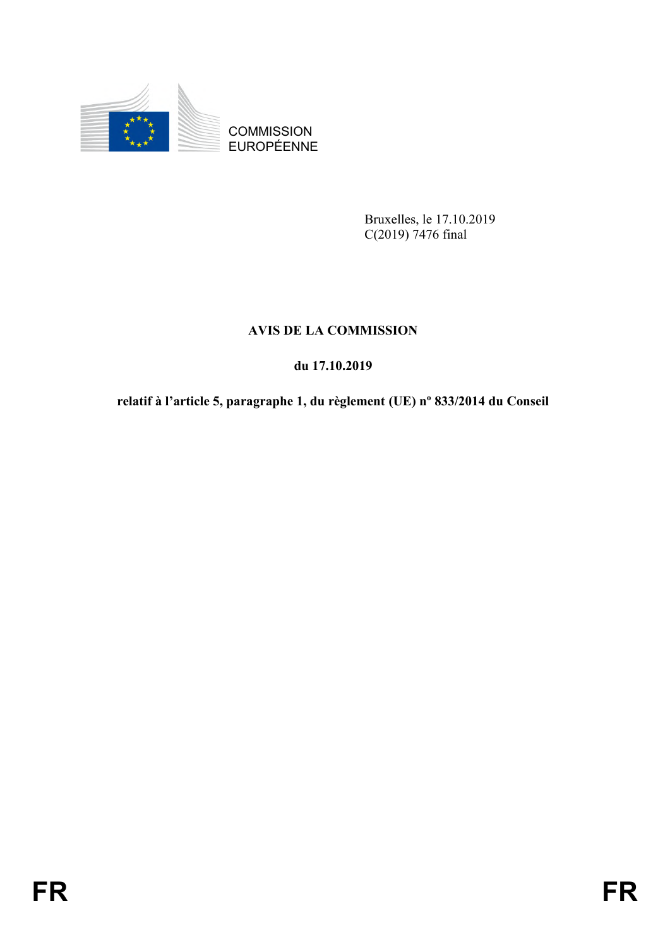

COMMISSION<br>EUROPÉENNE

Bruxelles, le 17.10.2019 C(2019) 7476 final

# **AVIS DE LA COMMISSION**

# **du 17.10.2019**

# COMMISSION<br>
EUROPEENNE<br> **FRA COMMISSION**<br>
AVIS DE LA COMMISSION<br>
du 17.10.2019<br> **FRA FRA COMMISSION**<br> **FRA FRA FRA COMMISSION**<br> **FRA FRA FRA FRA FRA CONSULTA (US)** or 833/2014 du Conseil<br> **FR relatif à l'article 5, paragraphe 1, du règlement (UE) nº 833/2014 du Conseil**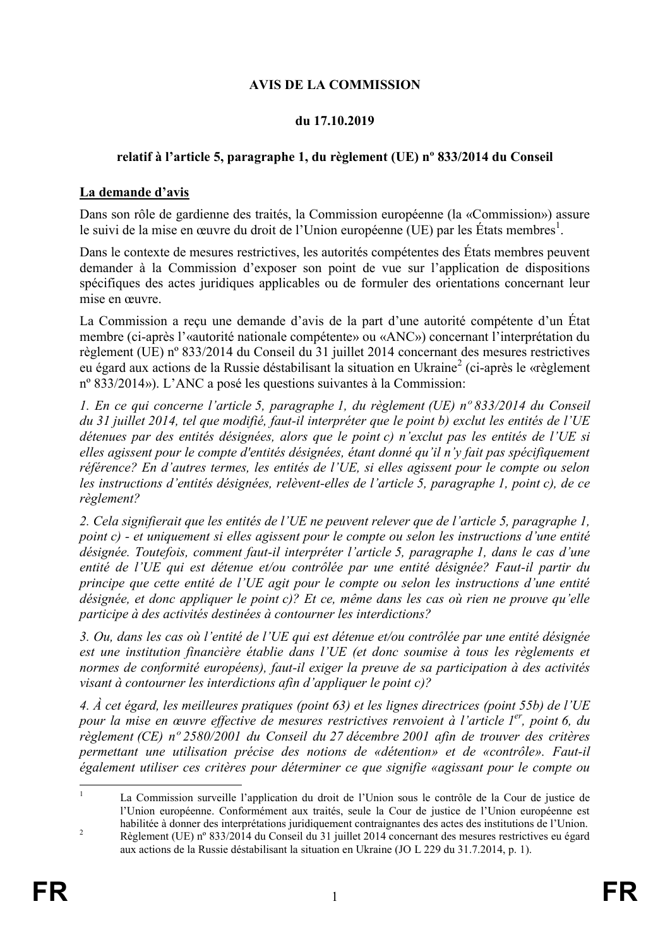# **AVIS DE LA COMMISSION**

## **du 17.10.2019**

## **relatif à l'article 5, paragraphe 1, du règlement (UE) nº 833/2014 du Conseil**

## **La demande d'avis**

Dans son rôle de gardienne des traités, la Commission européenne (la «Commission») assure le suivi de la mise en œuvre du droit de l'Union européenne (UE) par les États membres<sup>1</sup>.

Dans le contexte de mesures restrictives, les autorités compétentes des États membres peuvent demander à la Commission d'exposer son point de vue sur l'application de dispositions spécifiques des actes juridiques applicables ou de formuler des orientations concernant leur mise en œuvre.

La Commission a reçu une demande d'avis de la part d'une autorité compétente d'un État membre (ci-après l'«autorité nationale compétente» ou «ANC») concernant l'interprétation du règlement (UE) nº 833/2014 du Conseil du 31 juillet 2014 concernant des mesures restrictives eu égard aux actions de la Russie déstabilisant la situation en Ukraine<sup>2</sup> (ci-après le «règlement nº 833/2014»). L'ANC a posé les questions suivantes à la Commission:

*1. En ce qui concerne l'article 5, paragraphe 1, du règlement (UE) nº 833/2014 du Conseil du 31 juillet 2014, tel que modifié, faut-il interpréter que le point b) exclut les entités de l'UE détenues par des entités désignées, alors que le point c) n'exclut pas les entités de l'UE si elles agissent pour le compte d'entités désignées, étant donné qu'il n'y fait pas spécifiquement référence? En d'autres termes, les entités de l'UE, si elles agissent pour le compte ou selon les instructions d'entités désignées, relèvent-elles de l'article 5, paragraphe 1, point c), de ce règlement?* 

*2. Cela signifierait que les entités de l'UE ne peuvent relever que de l'article 5, paragraphe 1, point c) - et uniquement si elles agissent pour le compte ou selon les instructions d'une entité désignée. Toutefois, comment faut-il interpréter l'article 5, paragraphe 1, dans le cas d'une entité de l'UE qui est détenue et/ou contrôlée par une entité désignée? Faut-il partir du principe que cette entité de l'UE agit pour le compte ou selon les instructions d'une entité désignée, et donc appliquer le point c)? Et ce, même dans les cas où rien ne prouve qu'elle participe à des activités destinées à contourner les interdictions?* 

*3. Ou, dans les cas où l'entité de l'UE qui est détenue et/ou contrôlée par une entité désignée*  est une institution financière établie dans l'UE (et donc soumise à tous les règlements et *normes de conformité européens), faut-il exiger la preuve de sa participation à des activités visant à contourner les interdictions afin d'appliquer le point c)?*

*4. À cet égard, les meilleures pratiques (point 63) et les lignes directrices (point 55b) de l'UE pour la mise en œuvre effective de mesures restrictives renvoient à l'article 1 er, point 6, du règlement (CE) nº 2580/2001 du Conseil du 27 décembre 2001 afin de trouver des critères permettant une utilisation précise des notions de «détention» et de «contrôle». Faut-il également utiliser ces critères pour déterminer ce que signifie «agissant pour le compte ou* 

<sup>&</sup>lt;u>.</u> <sup>1</sup> La Commission surveille l'application du droit de l'Union sous le contrôle de la Cour de justice de l'Union européenne. Conformément aux traités, seule la Cour de justice de l'Union européenne est habilitée à donner des interprétations juridiquement contraignantes des actes des institutions de l'Union.

<sup>&</sup>lt;sup>2</sup> Règlement (UE) n° 833/2014 du Conseil du 31 juillet 2014 concernant des mesures restrictives eu égard aux actions de la Russie déstabilisant la situation en Ukraine (JO L 229 du 31.7.2014, p. 1).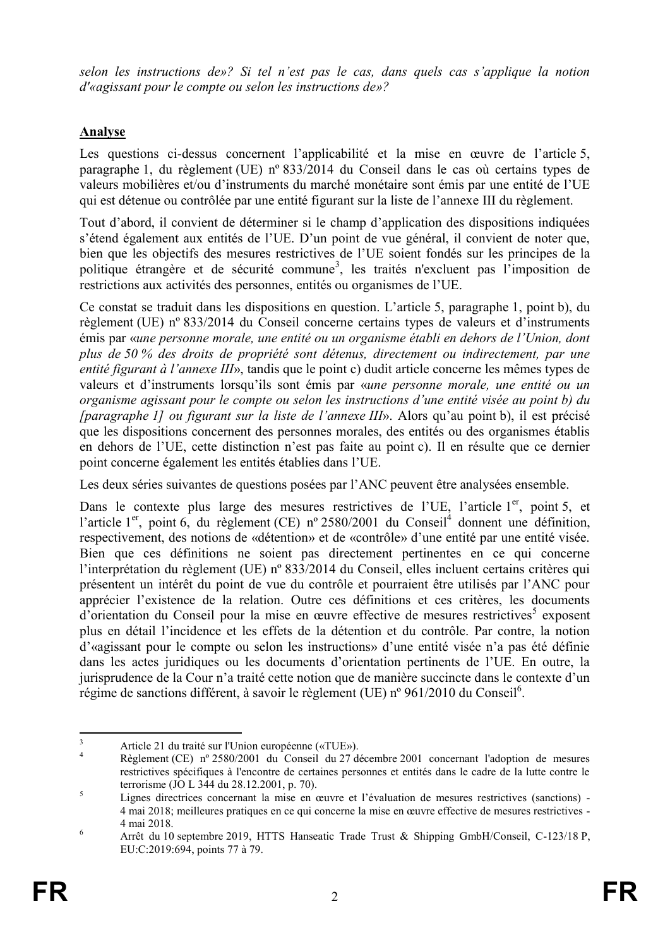*selon les instructions de»? Si tel n'est pas le cas, dans quels cas s'applique la notion d'«agissant pour le compte ou selon les instructions de»?*

# **Analyse**

Les questions ci-dessus concernent l'applicabilité et la mise en œuvre de l'article 5, paragraphe 1, du règlement (UE) nº 833/2014 du Conseil dans le cas où certains types de valeurs mobilières et/ou d'instruments du marché monétaire sont émis par une entité de l'UE qui est détenue ou contrôlée par une entité figurant sur la liste de l'annexe III du règlement.

Tout d'abord, il convient de déterminer si le champ d'application des dispositions indiquées s'étend également aux entités de l'UE. D'un point de vue général, il convient de noter que, bien que les objectifs des mesures restrictives de l'UE soient fondés sur les principes de la politique étrangère et de sécurité commune<sup>3</sup>, les traités n'excluent pas l'imposition de restrictions aux activités des personnes, entités ou organismes de l'UE.

Ce constat se traduit dans les dispositions en question. L'article 5, paragraphe 1, point b), du règlement (UE) nº 833/2014 du Conseil concerne certains types de valeurs et d'instruments émis par «*une personne morale, une entité ou un organisme établi en dehors de l'Union, dont plus de 50 % des droits de propriété sont détenus, directement ou indirectement, par une entité figurant à l'annexe III*», tandis que le point c) dudit article concerne les mêmes types de valeurs et d'instruments lorsqu'ils sont émis par «*une personne morale, une entité ou un organisme agissant pour le compte ou selon les instructions d'une entité visée au point b) du [paragraphe 1] ou figurant sur la liste de l'annexe III*». Alors qu'au point b), il est précisé que les dispositions concernent des personnes morales, des entités ou des organismes établis en dehors de l'UE, cette distinction n'est pas faite au point c). Il en résulte que ce dernier point concerne également les entités établies dans l'UE.

Les deux séries suivantes de questions posées par l'ANC peuvent être analysées ensemble.

Dans le contexte plus large des mesures restrictives de l'UE, l'article 1<sup>er</sup>, point 5, et l'article 1<sup>er</sup>, point 6, du règlement (CE) nº 2580/2001 du Conseil<sup>4</sup> donnent une définition, respectivement, des notions de «détention» et de «contrôle» d'une entité par une entité visée. Bien que ces définitions ne soient pas directement pertinentes en ce qui concerne l'interprétation du règlement (UE) nº 833/2014 du Conseil, elles incluent certains critères qui présentent un intérêt du point de vue du contrôle et pourraient être utilisés par l'ANC pour apprécier l'existence de la relation. Outre ces définitions et ces critères, les documents d'orientation du Conseil pour la mise en œuvre effective de mesures restrictives<sup>5</sup> exposent plus en détail l'incidence et les effets de la détention et du contrôle. Par contre, la notion d'«agissant pour le compte ou selon les instructions» d'une entité visée n'a pas été définie dans les actes juridiques ou les documents d'orientation pertinents de l'UE. En outre, la jurisprudence de la Cour n'a traité cette notion que de manière succincte dans le contexte d'un régime de sanctions différent, à savoir le règlement (UE) n° 961/2010 du Conseil<sup>6</sup>.

 $\overline{\mathbf{3}}$  $\frac{3}{4}$  Article 21 du traité sur l'Union européenne («TUE»).

<sup>4</sup> Règlement (CE) nº 2580/2001 du Conseil du 27 décembre 2001 concernant l'adoption de mesures restrictives spécifiques à l'encontre de certaines personnes et entités dans le cadre de la lutte contre le terrorisme (JO L 344 du 28.12.2001, p. 70).

 $\frac{5}{\sqrt{5}}$  Lignes directrices concernant la mise en œuvre et l'évaluation de mesures restrictives (sanctions) -4 mai 2018; meilleures pratiques en ce qui concerne la mise en œuvre effective de mesures restrictives - 4 mai 2018.

<sup>6</sup> Arrêt du 10 septembre 2019, HTTS Hanseatic Trade Trust & Shipping GmbH/Conseil, C-123/18 P, EU:C:2019:694, points 77 à 79.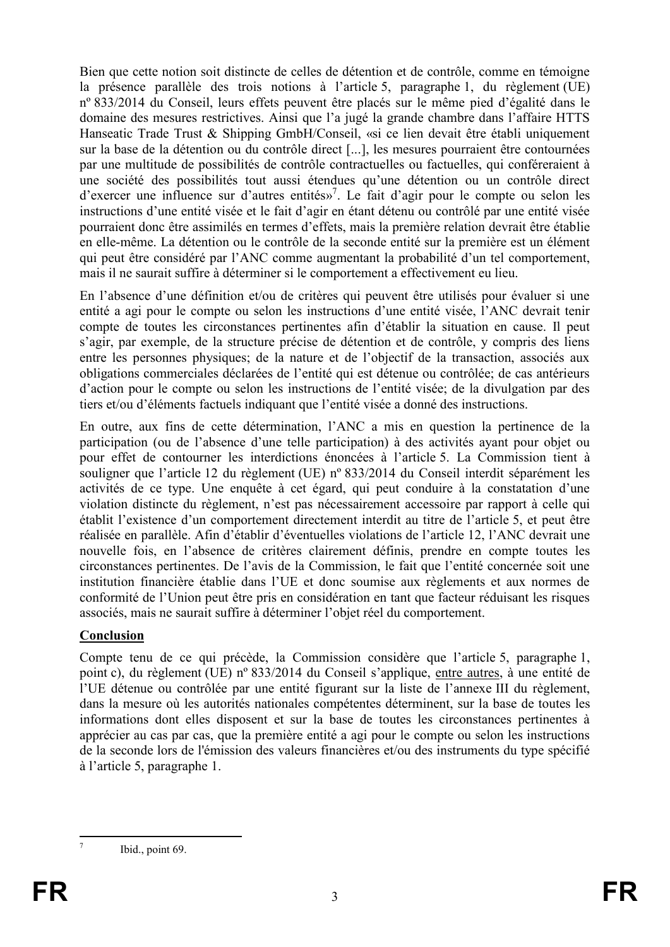Bien que cette notion soit distincte de celles de détention et de contrôle, comme en témoigne la présence parallèle des trois notions à l'article 5, paragraphe 1, du règlement (UE) nº 833/2014 du Conseil, leurs effets peuvent être placés sur le même pied d'égalité dans le domaine des mesures restrictives. Ainsi que l'a jugé la grande chambre dans l'affaire HTTS Hanseatic Trade Trust & Shipping GmbH/Conseil, «si ce lien devait être établi uniquement sur la base de la détention ou du contrôle direct [...], les mesures pourraient être contournées par une multitude de possibilités de contrôle contractuelles ou factuelles, qui conféreraient à une société des possibilités tout aussi étendues qu'une détention ou un contrôle direct d'exercer une influence sur d'autres entités»<sup>7</sup>. Le fait d'agir pour le compte ou selon les instructions d'une entité visée et le fait d'agir en étant détenu ou contrôlé par une entité visée pourraient donc être assimilés en termes d'effets, mais la première relation devrait être établie en elle-même. La détention ou le contrôle de la seconde entité sur la première est un élément qui peut être considéré par l'ANC comme augmentant la probabilité d'un tel comportement, mais il ne saurait suffire à déterminer si le comportement a effectivement eu lieu.

En l'absence d'une définition et/ou de critères qui peuvent être utilisés pour évaluer si une entité a agi pour le compte ou selon les instructions d'une entité visée, l'ANC devrait tenir compte de toutes les circonstances pertinentes afin d'établir la situation en cause. Il peut s'agir, par exemple, de la structure précise de détention et de contrôle, y compris des liens entre les personnes physiques; de la nature et de l'objectif de la transaction, associés aux obligations commerciales déclarées de l'entité qui est détenue ou contrôlée; de cas antérieurs d'action pour le compte ou selon les instructions de l'entité visée; de la divulgation par des tiers et/ou d'éléments factuels indiquant que l'entité visée a donné des instructions.

En outre, aux fins de cette détermination, l'ANC a mis en question la pertinence de la participation (ou de l'absence d'une telle participation) à des activités ayant pour objet ou pour effet de contourner les interdictions énoncées à l'article 5. La Commission tient à souligner que l'article 12 du règlement (UE) nº 833/2014 du Conseil interdit séparément les activités de ce type. Une enquête à cet égard, qui peut conduire à la constatation d'une violation distincte du règlement, n'est pas nécessairement accessoire par rapport à celle qui établit l'existence d'un comportement directement interdit au titre de l'article 5, et peut être réalisée en parallèle. Afin d'établir d'éventuelles violations de l'article 12, l'ANC devrait une nouvelle fois, en l'absence de critères clairement définis, prendre en compte toutes les circonstances pertinentes. De l'avis de la Commission, le fait que l'entité concernée soit une institution financière établie dans l'UE et donc soumise aux règlements et aux normes de conformité de l'Union peut être pris en considération en tant que facteur réduisant les risques associés, mais ne saurait suffire à déterminer l'objet réel du comportement.

# **Conclusion**

Compte tenu de ce qui précède, la Commission considère que l'article 5, paragraphe 1, point c), du règlement (UE) nº 833/2014 du Conseil s'applique, entre autres, à une entité de l'UE détenue ou contrôlée par une entité figurant sur la liste de l'annexe III du règlement, dans la mesure où les autorités nationales compétentes déterminent, sur la base de toutes les informations dont elles disposent et sur la base de toutes les circonstances pertinentes à apprécier au cas par cas, que la première entité a agi pour le compte ou selon les instructions de la seconde lors de l'émission des valeurs financières et/ou des instruments du type spécifié à l'article 5, paragraphe 1.

 $\frac{1}{7}$ 

Ibid., point 69.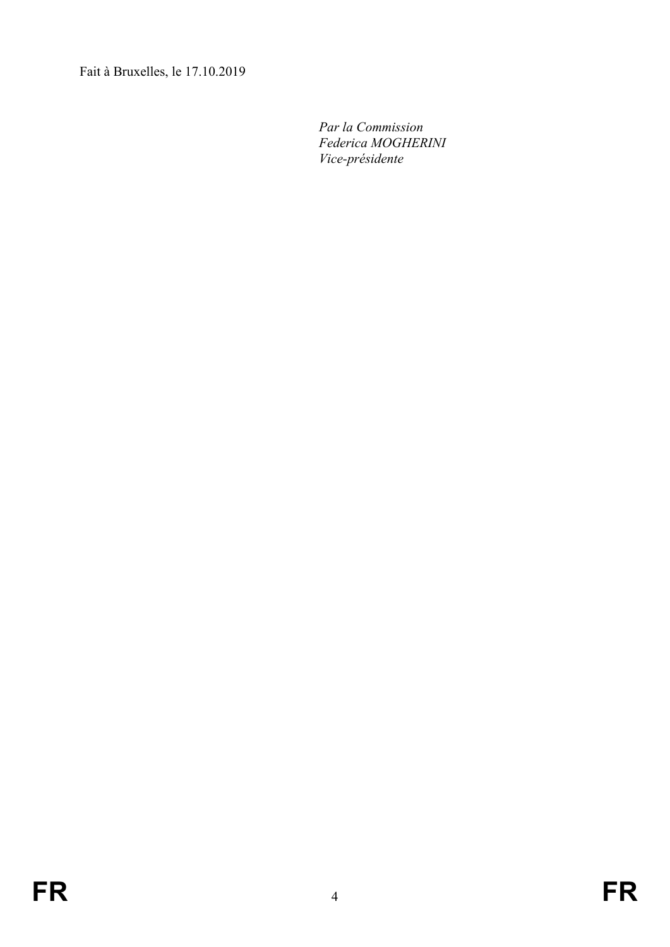Fait à Bruxelles, le 17.10.2019

*Par la Commission Federica MOGHERINI Vice-présidente*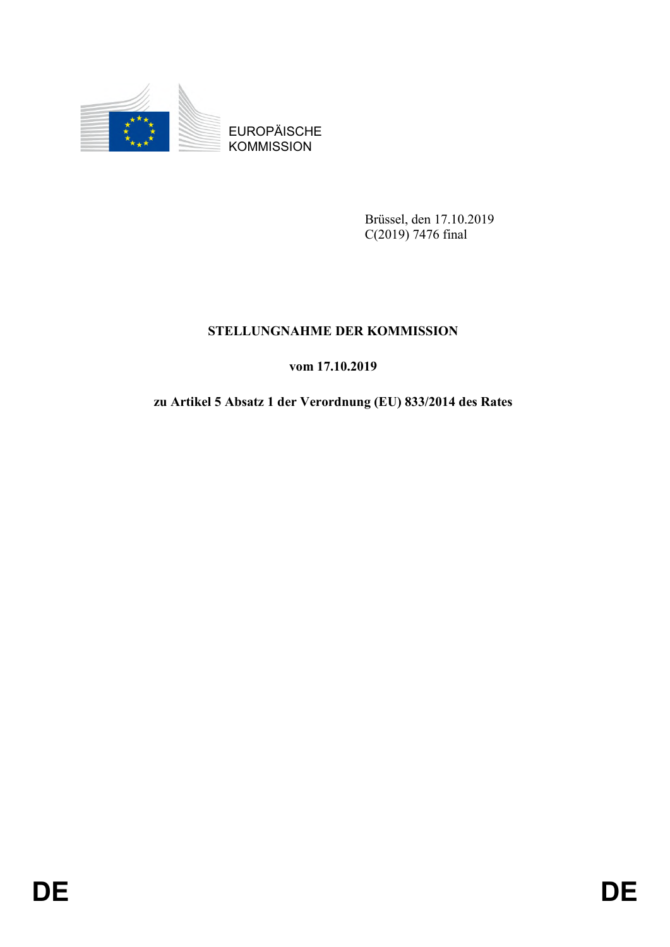

**KOMMISSION** 

Brüssel, den 17.10.2019 C(2019) 7476 final

# **STELLUNGNAHME DER KOMMISSION**

# **vom 17.10.2019**

# EUROPÄISCHE<br> **DEAR EUROPÄISCHE**<br> **DEAR EUROPÄISCHE**<br> **DEAR EUROPÄISCHE**<br> **DEAR EUROPÄISCHE**<br> **DE**<br> **DE**<br> **DE**<br> **DE**<br> **DE**<br> **DE**<br> **DE zu Artikel 5 Absatz 1 der Verordnung (EU) 833/2014 des Rates**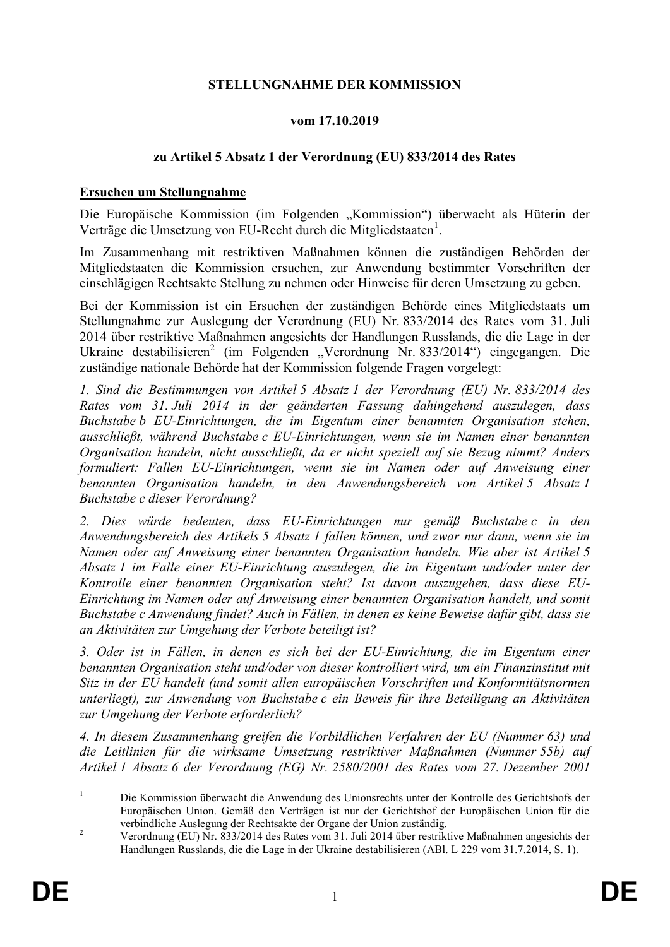## **STELLUNGNAHME DER KOMMISSION**

## **vom 17.10.2019**

## **zu Artikel 5 Absatz 1 der Verordnung (EU) 833/2014 des Rates**

## **Ersuchen um Stellungnahme**

Die Europäische Kommission (im Folgenden "Kommission") überwacht als Hüterin der Verträge die Umsetzung von EU-Recht durch die Mitgliedstaaten<sup>1</sup>.

Im Zusammenhang mit restriktiven Maßnahmen können die zuständigen Behörden der Mitgliedstaaten die Kommission ersuchen, zur Anwendung bestimmter Vorschriften der einschlägigen Rechtsakte Stellung zu nehmen oder Hinweise für deren Umsetzung zu geben.

Bei der Kommission ist ein Ersuchen der zuständigen Behörde eines Mitgliedstaats um Stellungnahme zur Auslegung der Verordnung (EU) Nr. 833/2014 des Rates vom 31. Juli 2014 über restriktive Maßnahmen angesichts der Handlungen Russlands, die die Lage in der Ukraine destabilisieren<sup>2</sup> (im Folgenden "Verordnung Nr. 833/2014") eingegangen. Die zuständige nationale Behörde hat der Kommission folgende Fragen vorgelegt:

*1. Sind die Bestimmungen von Artikel 5 Absatz 1 der Verordnung (EU) Nr. 833/2014 des Rates vom 31. Juli 2014 in der geänderten Fassung dahingehend auszulegen, dass Buchstabe b EU-Einrichtungen, die im Eigentum einer benannten Organisation stehen, ausschließt, während Buchstabe c EU-Einrichtungen, wenn sie im Namen einer benannten Organisation handeln, nicht ausschließt, da er nicht speziell auf sie Bezug nimmt? Anders formuliert: Fallen EU-Einrichtungen, wenn sie im Namen oder auf Anweisung einer benannten Organisation handeln, in den Anwendungsbereich von Artikel 5 Absatz 1 Buchstabe c dieser Verordnung?* 

*2. Dies würde bedeuten, dass EU-Einrichtungen nur gemäß Buchstabe c in den Anwendungsbereich des Artikels 5 Absatz 1 fallen können, und zwar nur dann, wenn sie im Namen oder auf Anweisung einer benannten Organisation handeln. Wie aber ist Artikel 5 Absatz 1 im Falle einer EU-Einrichtung auszulegen, die im Eigentum und/oder unter der Kontrolle einer benannten Organisation steht? Ist davon auszugehen, dass diese EU-Einrichtung im Namen oder auf Anweisung einer benannten Organisation handelt, und somit Buchstabe c Anwendung findet? Auch in Fällen, in denen es keine Beweise dafür gibt, dass sie an Aktivitäten zur Umgehung der Verbote beteiligt ist?* 

*3. Oder ist in Fällen, in denen es sich bei der EU-Einrichtung, die im Eigentum einer benannten Organisation steht und/oder von dieser kontrolliert wird, um ein Finanzinstitut mit Sitz in der EU handelt (und somit allen europäischen Vorschriften und Konformitätsnormen unterliegt), zur Anwendung von Buchstabe c ein Beweis für ihre Beteiligung an Aktivitäten zur Umgehung der Verbote erforderlich?*

*4. In diesem Zusammenhang greifen die Vorbildlichen Verfahren der EU (Nummer 63) und die Leitlinien für die wirksame Umsetzung restriktiver Maßnahmen (Nummer 55b) auf Artikel 1 Absatz 6 der Verordnung (EG) Nr. 2580/2001 des Rates vom 27. Dezember 2001* 

<u>.</u>

<sup>1</sup> Die Kommission überwacht die Anwendung des Unionsrechts unter der Kontrolle des Gerichtshofs der Europäischen Union. Gemäß den Verträgen ist nur der Gerichtshof der Europäischen Union für die verbindliche Auslegung der Rechtsakte der Organe der Union zuständig.

<sup>&</sup>lt;sup>2</sup> Verordnung (EU) Nr. 833/2014 des Rates vom 31. Juli 2014 über restriktive Maßnahmen angesichts der Handlungen Russlands, die die Lage in der Ukraine destabilisieren (ABl. L 229 vom 31.7.2014, S. 1).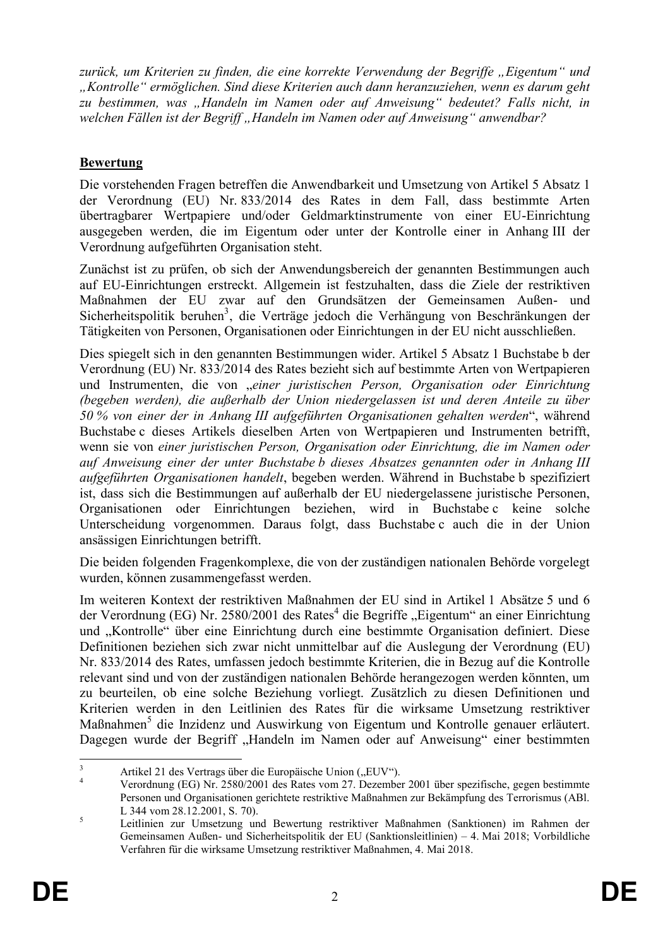zurück, um Kriterien zu finden, die eine korrekte Verwendung der Begriffe "Eigentum" und *"Kontrolle" ermöglichen. Sind diese Kriterien auch dann heranzuziehen, wenn es darum geht zu bestimmen, was "Handeln im Namen oder auf Anweisung" bedeutet? Falls nicht, in welchen Fällen ist der Begriff "Handeln im Namen oder auf Anweisung" anwendbar?*

# **Bewertung**

Die vorstehenden Fragen betreffen die Anwendbarkeit und Umsetzung von Artikel 5 Absatz 1 der Verordnung (EU) Nr. 833/2014 des Rates in dem Fall, dass bestimmte Arten übertragbarer Wertpapiere und/oder Geldmarktinstrumente von einer EU-Einrichtung ausgegeben werden, die im Eigentum oder unter der Kontrolle einer in Anhang III der Verordnung aufgeführten Organisation steht.

Zunächst ist zu prüfen, ob sich der Anwendungsbereich der genannten Bestimmungen auch auf EU-Einrichtungen erstreckt. Allgemein ist festzuhalten, dass die Ziele der restriktiven Maßnahmen der EU zwar auf den Grundsätzen der Gemeinsamen Außen- und Sicherheitspolitik beruhen<sup>3</sup>, die Verträge jedoch die Verhängung von Beschränkungen der Tätigkeiten von Personen, Organisationen oder Einrichtungen in der EU nicht ausschließen.

Dies spiegelt sich in den genannten Bestimmungen wider. Artikel 5 Absatz 1 Buchstabe b der Verordnung (EU) Nr. 833/2014 des Rates bezieht sich auf bestimmte Arten von Wertpapieren und Instrumenten, die von "*einer juristischen Person, Organisation oder Einrichtung (begeben werden), die außerhalb der Union niedergelassen ist und deren Anteile zu über 50 % von einer der in Anhang III aufgeführten Organisationen gehalten werden*", während Buchstabe c dieses Artikels dieselben Arten von Wertpapieren und Instrumenten betrifft, wenn sie von *einer juristischen Person, Organisation oder Einrichtung, die im Namen oder auf Anweisung einer der unter Buchstabe b dieses Absatzes genannten oder in Anhang III aufgeführten Organisationen handelt*, begeben werden. Während in Buchstabe b spezifiziert ist, dass sich die Bestimmungen auf außerhalb der EU niedergelassene juristische Personen, Organisationen oder Einrichtungen beziehen, wird in Buchstabe c keine solche Unterscheidung vorgenommen. Daraus folgt, dass Buchstabe c auch die in der Union ansässigen Einrichtungen betrifft.

Die beiden folgenden Fragenkomplexe, die von der zuständigen nationalen Behörde vorgelegt wurden, können zusammengefasst werden.

Im weiteren Kontext der restriktiven Maßnahmen der EU sind in Artikel 1 Absätze 5 und 6 der Verordnung (EG) Nr. 2580/2001 des Rates<sup>4</sup> die Begriffe "Eigentum" an einer Einrichtung und "Kontrolle" über eine Einrichtung durch eine bestimmte Organisation definiert. Diese Definitionen beziehen sich zwar nicht unmittelbar auf die Auslegung der Verordnung (EU) Nr. 833/2014 des Rates, umfassen jedoch bestimmte Kriterien, die in Bezug auf die Kontrolle relevant sind und von der zuständigen nationalen Behörde herangezogen werden könnten, um zu beurteilen, ob eine solche Beziehung vorliegt. Zusätzlich zu diesen Definitionen und Kriterien werden in den Leitlinien des Rates für die wirksame Umsetzung restriktiver Maßnahmen<sup>5</sup> die Inzidenz und Auswirkung von Eigentum und Kontrolle genauer erläutert. Dagegen wurde der Begriff "Handeln im Namen oder auf Anweisung" einer bestimmten

 $\overline{\mathbf{3}}$  $\frac{3}{4}$  Artikel 21 des Vertrags über die Europäische Union ("EUV").

<sup>4</sup> Verordnung (EG) Nr. 2580/2001 des Rates vom 27. Dezember 2001 über spezifische, gegen bestimmte Personen und Organisationen gerichtete restriktive Maßnahmen zur Bekämpfung des Terrorismus (ABl. L 344 vom 28.12.2001, S. 70).

<sup>5</sup> Leitlinien zur Umsetzung und Bewertung restriktiver Maßnahmen (Sanktionen) im Rahmen der Gemeinsamen Außen- und Sicherheitspolitik der EU (Sanktionsleitlinien) – 4. Mai 2018; Vorbildliche Verfahren für die wirksame Umsetzung restriktiver Maßnahmen, 4. Mai 2018.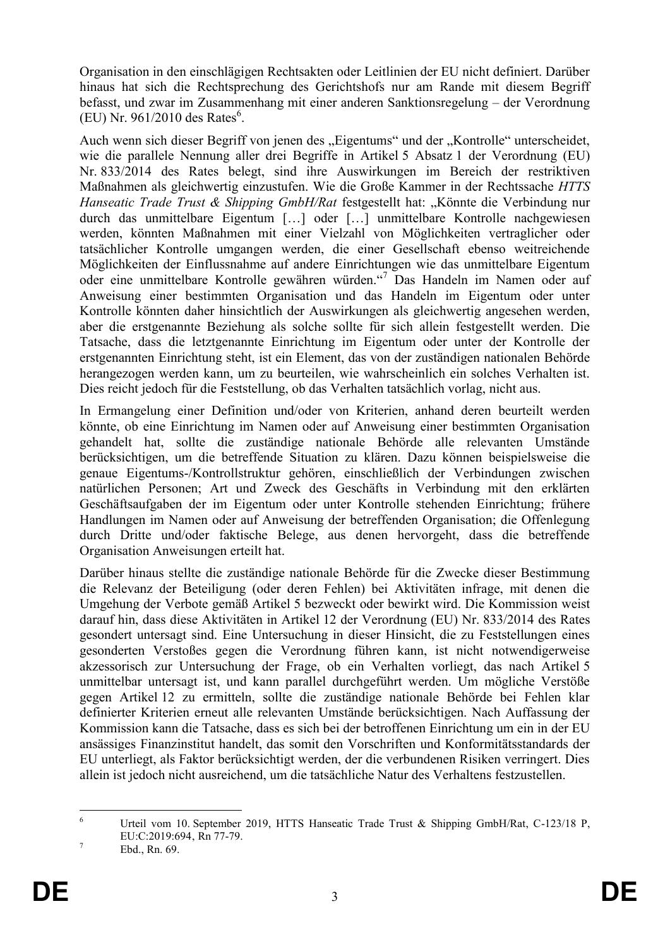Organisation in den einschlägigen Rechtsakten oder Leitlinien der EU nicht definiert. Darüber hinaus hat sich die Rechtsprechung des Gerichtshofs nur am Rande mit diesem Begriff befasst, und zwar im Zusammenhang mit einer anderen Sanktionsregelung – der Verordnung  $(EU)$  Nr. 961/2010 des Rates<sup>6</sup>.

Auch wenn sich dieser Begriff von jenen des "Eigentums" und der "Kontrolle" unterscheidet, wie die parallele Nennung aller drei Begriffe in Artikel 5 Absatz 1 der Verordnung (EU) Nr. 833/2014 des Rates belegt, sind ihre Auswirkungen im Bereich der restriktiven Maßnahmen als gleichwertig einzustufen. Wie die Große Kammer in der Rechtssache *HTTS Hanseatic Trade Trust & Shipping GmbH/Rat* festgestellt hat: "Könnte die Verbindung nur durch das unmittelbare Eigentum […] oder […] unmittelbare Kontrolle nachgewiesen werden, könnten Maßnahmen mit einer Vielzahl von Möglichkeiten vertraglicher oder tatsächlicher Kontrolle umgangen werden, die einer Gesellschaft ebenso weitreichende Möglichkeiten der Einflussnahme auf andere Einrichtungen wie das unmittelbare Eigentum oder eine unmittelbare Kontrolle gewähren würden."<sup>7</sup> Das Handeln im Namen oder auf Anweisung einer bestimmten Organisation und das Handeln im Eigentum oder unter Kontrolle könnten daher hinsichtlich der Auswirkungen als gleichwertig angesehen werden, aber die erstgenannte Beziehung als solche sollte für sich allein festgestellt werden. Die Tatsache, dass die letztgenannte Einrichtung im Eigentum oder unter der Kontrolle der erstgenannten Einrichtung steht, ist ein Element, das von der zuständigen nationalen Behörde herangezogen werden kann, um zu beurteilen, wie wahrscheinlich ein solches Verhalten ist. Dies reicht jedoch für die Feststellung, ob das Verhalten tatsächlich vorlag, nicht aus.

In Ermangelung einer Definition und/oder von Kriterien, anhand deren beurteilt werden könnte, ob eine Einrichtung im Namen oder auf Anweisung einer bestimmten Organisation gehandelt hat, sollte die zuständige nationale Behörde alle relevanten Umstände berücksichtigen, um die betreffende Situation zu klären. Dazu können beispielsweise die genaue Eigentums-/Kontrollstruktur gehören, einschließlich der Verbindungen zwischen natürlichen Personen; Art und Zweck des Geschäfts in Verbindung mit den erklärten Geschäftsaufgaben der im Eigentum oder unter Kontrolle stehenden Einrichtung; frühere Handlungen im Namen oder auf Anweisung der betreffenden Organisation; die Offenlegung durch Dritte und/oder faktische Belege, aus denen hervorgeht, dass die betreffende Organisation Anweisungen erteilt hat.

Darüber hinaus stellte die zuständige nationale Behörde für die Zwecke dieser Bestimmung die Relevanz der Beteiligung (oder deren Fehlen) bei Aktivitäten infrage, mit denen die Umgehung der Verbote gemäß Artikel 5 bezweckt oder bewirkt wird. Die Kommission weist darauf hin, dass diese Aktivitäten in Artikel 12 der Verordnung (EU) Nr. 833/2014 des Rates gesondert untersagt sind. Eine Untersuchung in dieser Hinsicht, die zu Feststellungen eines gesonderten Verstoßes gegen die Verordnung führen kann, ist nicht notwendigerweise akzessorisch zur Untersuchung der Frage, ob ein Verhalten vorliegt, das nach Artikel 5 unmittelbar untersagt ist, und kann parallel durchgeführt werden. Um mögliche Verstöße gegen Artikel 12 zu ermitteln, sollte die zuständige nationale Behörde bei Fehlen klar definierter Kriterien erneut alle relevanten Umstände berücksichtigen. Nach Auffassung der Kommission kann die Tatsache, dass es sich bei der betroffenen Einrichtung um ein in der EU ansässiges Finanzinstitut handelt, das somit den Vorschriften und Konformitätsstandards der EU unterliegt, als Faktor berücksichtigt werden, der die verbundenen Risiken verringert. Dies allein ist jedoch nicht ausreichend, um die tatsächliche Natur des Verhaltens festzustellen.

 $\overline{6}$ Urteil vom 10. September 2019, HTTS Hanseatic Trade Trust & Shipping GmbH/Rat, C-123/18 P, EU:C:2019:694, Rn 77-79.

 $^7$  Ebd., Rn. 69.